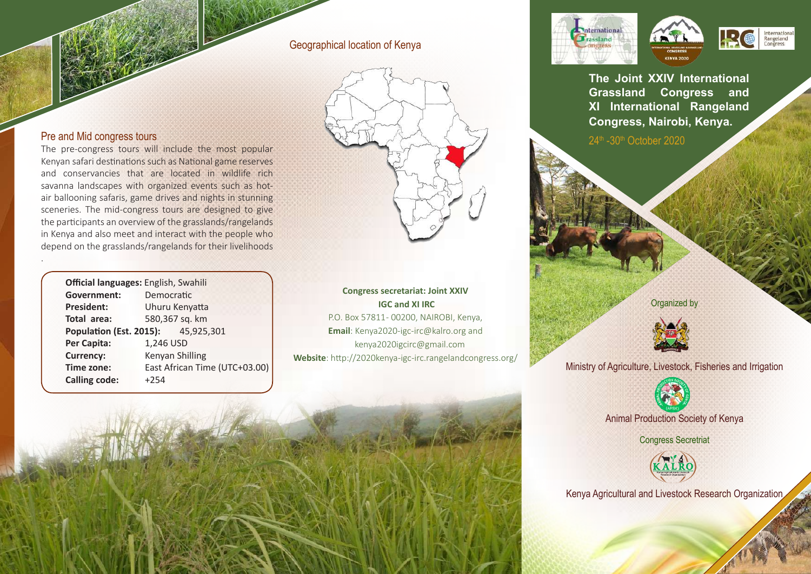# Geographical location of Kenya



# **Congress secretariat: Joint XXIV IGC and XI IRC**

P.O. Box 57811 - 00200, NAIROBI, Kenya, **Email**: Kenya2020-igc-irc@kalro.org and kenya2020igcirc@gmail.com **Website**: http://2020kenya-igc-irc.rangelandcongress.org/





**The Joint XXIV International Grassland Congress and XI International Rangeland Congress, Nairobi, Kenya.**

24<sup>th</sup> -30<sup>th</sup> October 2020

Organized by



Ministry of Agriculture, Livestock, Fisheries and Irrigation



Animal Production Society of Kenya

Congress Secretriat



Kenya Agricultural and Livestock Research Organization

## Pre and Mid congress tours

.

The pre-congress tours will include the most popular Kenyan safari destinations such as National game reserves and conservancies that are located in wildlife rich savanna landscapes with organized events such as hotair ballooning safaris, game drives and nights in stunning sceneries. The mid-congress tours are designed to give the participants an overview of the grasslands/rangelands in Kenya and also meet and interact with the people who depend on the grasslands/rangelands for their livelihoods

| <b>Official languages:</b> English, Swahili |                               |            |  |  |
|---------------------------------------------|-------------------------------|------------|--|--|
| Government:                                 | Democratic                    |            |  |  |
| President:                                  | Uhuru Kenyatta                |            |  |  |
| Total area:                                 | 580,367 sq. km                |            |  |  |
| Population (Est. 2015):                     |                               | 45,925,301 |  |  |
| Per Capita:                                 | 1,246 USD                     |            |  |  |
| <b>Currency:</b>                            | Kenyan Shilling               |            |  |  |
| Time zone:                                  | East African Time (UTC+03.00) |            |  |  |
| <b>Calling code:</b>                        | $+254$                        |            |  |  |
|                                             |                               |            |  |  |